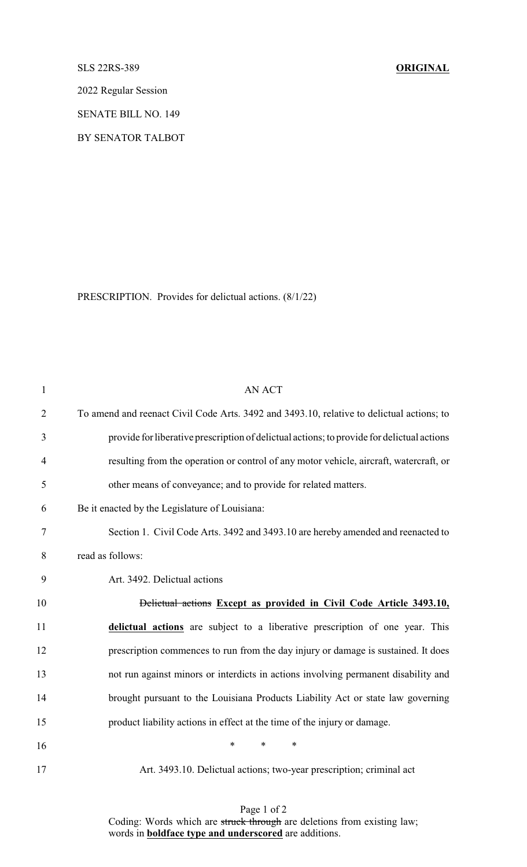## SLS 22RS-389 **ORIGINAL**

2022 Regular Session

SENATE BILL NO. 149

BY SENATOR TALBOT

PRESCRIPTION. Provides for delictual actions. (8/1/22)

| $\mathbf{1}$   | <b>AN ACT</b>                                                                              |
|----------------|--------------------------------------------------------------------------------------------|
| $\overline{2}$ | To amend and reenact Civil Code Arts. 3492 and 3493.10, relative to delictual actions; to  |
| 3              | provide for liberative prescription of delictual actions; to provide for delictual actions |
| 4              | resulting from the operation or control of any motor vehicle, aircraft, watercraft, or     |
| 5              | other means of conveyance; and to provide for related matters.                             |
| 6              | Be it enacted by the Legislature of Louisiana:                                             |
| 7              | Section 1. Civil Code Arts. 3492 and 3493.10 are hereby amended and reenacted to           |
| 8              | read as follows:                                                                           |
| 9              | Art. 3492. Delictual actions                                                               |
| 10             | <b>Delictual actions Except as provided in Civil Code Article 3493.10,</b>                 |
| 11             | delictual actions are subject to a liberative prescription of one year. This               |
| 12             | prescription commences to run from the day injury or damage is sustained. It does          |
| 13             | not run against minors or interdicts in actions involving permanent disability and         |
| 14             | brought pursuant to the Louisiana Products Liability Act or state law governing            |
| 15             | product liability actions in effect at the time of the injury or damage.                   |
| 16             | *<br>$\ast$<br>∗                                                                           |
| 17             | Art. 3493.10. Delictual actions; two-year prescription; criminal act                       |

Page 1 of 2 Coding: Words which are struck through are deletions from existing law; words in **boldface type and underscored** are additions.